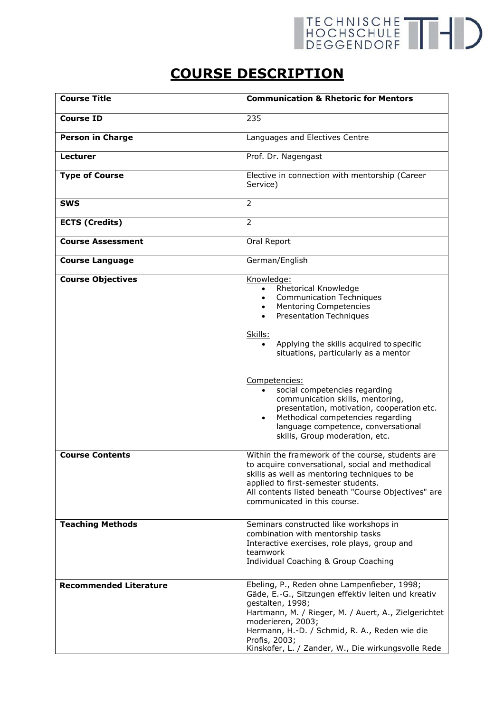## TECHNISCHE THID

## **COURSE DESCRIPTION**

| <b>Course Title</b>           | <b>Communication &amp; Rhetoric for Mentors</b>                                                                                                                                                                                                                                                                            |
|-------------------------------|----------------------------------------------------------------------------------------------------------------------------------------------------------------------------------------------------------------------------------------------------------------------------------------------------------------------------|
| <b>Course ID</b>              | 235                                                                                                                                                                                                                                                                                                                        |
| <b>Person in Charge</b>       | Languages and Electives Centre                                                                                                                                                                                                                                                                                             |
| <b>Lecturer</b>               | Prof. Dr. Nagengast                                                                                                                                                                                                                                                                                                        |
| <b>Type of Course</b>         | Elective in connection with mentorship (Career<br>Service)                                                                                                                                                                                                                                                                 |
| <b>SWS</b>                    | $\overline{2}$                                                                                                                                                                                                                                                                                                             |
| <b>ECTS (Credits)</b>         | $\overline{2}$                                                                                                                                                                                                                                                                                                             |
| <b>Course Assessment</b>      | Oral Report                                                                                                                                                                                                                                                                                                                |
| <b>Course Language</b>        | German/English                                                                                                                                                                                                                                                                                                             |
| <b>Course Objectives</b>      | Knowledge:<br>Rhetorical Knowledge<br>$\bullet$<br><b>Communication Techniques</b><br><b>Mentoring Competencies</b><br><b>Presentation Techniques</b><br>Skills:<br>Applying the skills acquired to specific<br>situations, particularly as a mentor                                                                       |
|                               | Competencies:<br>social competencies regarding<br>$\bullet$<br>communication skills, mentoring,<br>presentation, motivation, cooperation etc.<br>Methodical competencies regarding<br>$\bullet$<br>language competence, conversational<br>skills, Group moderation, etc.                                                   |
| <b>Course Contents</b>        | Within the framework of the course, students are<br>to acquire conversational, social and methodical<br>skills as well as mentoring techniques to be<br>applied to first-semester students.<br>All contents listed beneath "Course Objectives" are<br>communicated in this course.                                         |
| <b>Teaching Methods</b>       | Seminars constructed like workshops in<br>combination with mentorship tasks<br>Interactive exercises, role plays, group and<br>teamwork<br>Individual Coaching & Group Coaching                                                                                                                                            |
| <b>Recommended Literature</b> | Ebeling, P., Reden ohne Lampenfieber, 1998;<br>Gäde, E.-G., Sitzungen effektiv leiten und kreativ<br>gestalten, 1998;<br>Hartmann, M. / Rieger, M. / Auert, A., Zielgerichtet<br>moderieren, 2003;<br>Hermann, H.-D. / Schmid, R. A., Reden wie die<br>Profis, 2003;<br>Kinskofer, L. / Zander, W., Die wirkungsvolle Rede |